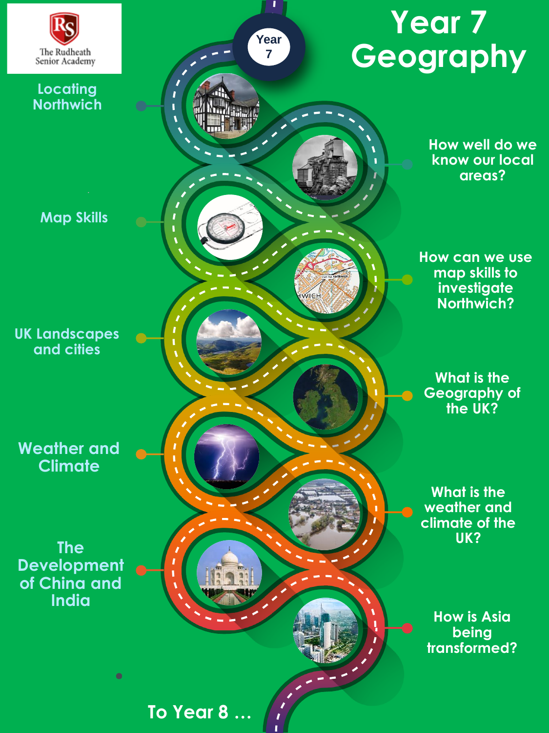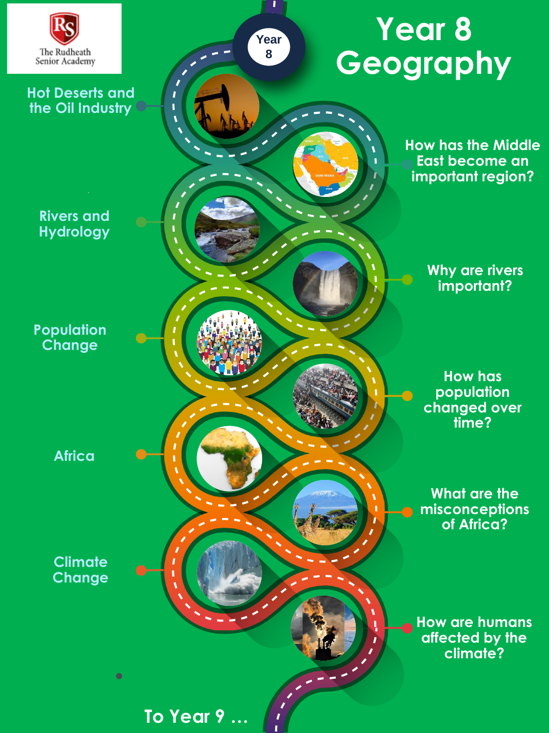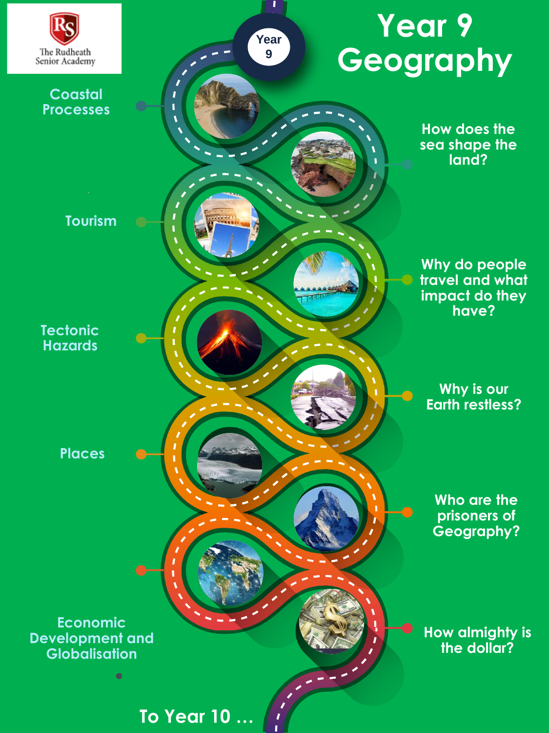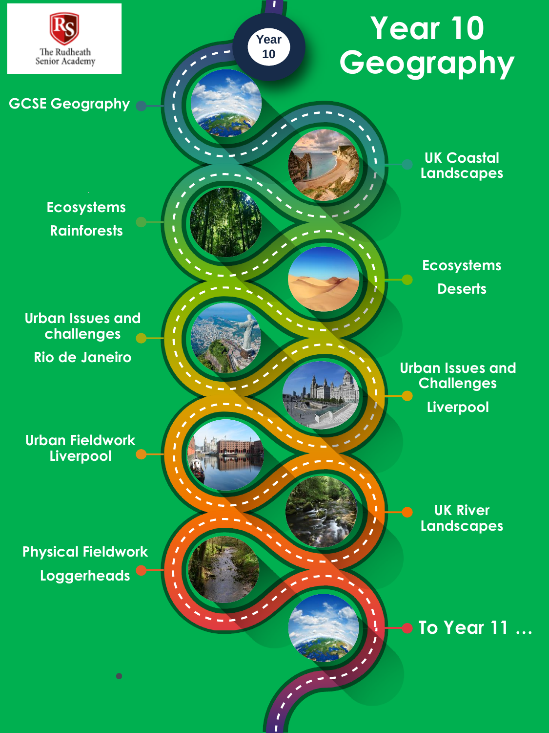